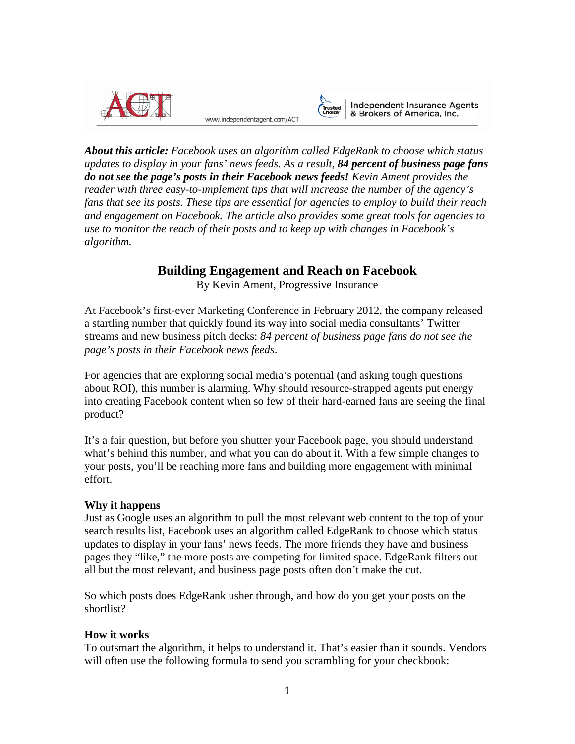

www.independentagent.com/ACT



Independent Insurance Agents<br>& Brokers of America, Inc.

*About this article: Facebook uses an algorithm called EdgeRank to choose which status updates to display in your fans' news feeds. As a result, 84 percent of business page fans do not see the page's posts in their Facebook news feeds! Kevin Ament provides the reader with three easy-to-implement tips that will increase the number of the agency's fans that see its posts. These tips are essential for agencies to employ to build their reach and engagement on Facebook. The article also provides some great tools for agencies to use to monitor the reach of their posts and to keep up with changes in Facebook's algorithm.*

# **Building Engagement and Reach on Facebook**

By Kevin Ament, Progressive Insurance

At Facebook's first-ever Marketing Conference in February 2012, the company released a startling number that quickly found its way into social media consultants' Twitter streams and new business pitch decks: *84 percent of business page fans do not see the page's posts in their Facebook news feeds*.

For agencies that are exploring social media's potential (and asking tough questions about ROI), this number is alarming. Why should resource-strapped agents put energy into creating Facebook content when so few of their hard-earned fans are seeing the final product?

It's a fair question, but before you shutter your Facebook page, you should understand what's behind this number, and what you can do about it. With a few simple changes to your posts, you'll be reaching more fans and building more engagement with minimal effort.

# **Why it happens**

Just as Google uses an algorithm to pull the most relevant web content to the top of your search results list, Facebook uses an algorithm called EdgeRank to choose which status updates to display in your fans' news feeds. The more friends they have and business pages they "like," the more posts are competing for limited space. EdgeRank filters out all but the most relevant, and business page posts often don't make the cut.

So which posts does EdgeRank usher through, and how do you get your posts on the shortlist?

# **How it works**

To outsmart the algorithm, it helps to understand it. That's easier than it sounds. Vendors will often use the following formula to send you scrambling for your checkbook: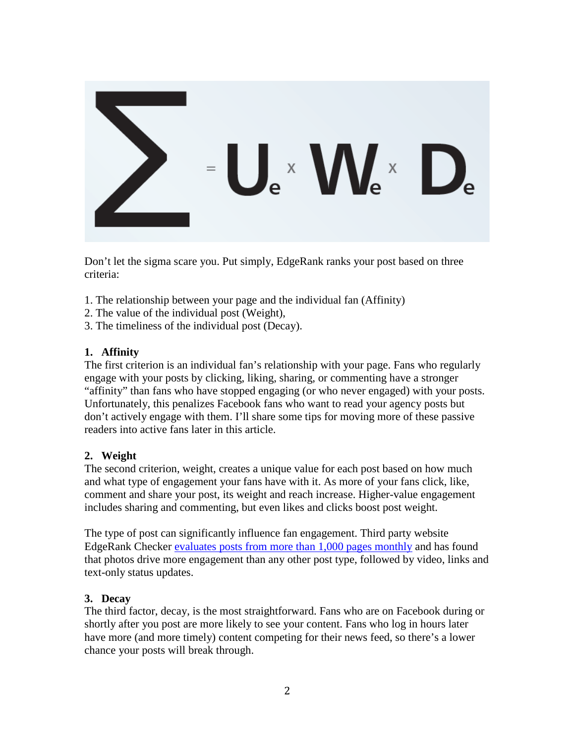

Don't let the sigma scare you. Put simply, EdgeRank ranks your post based on three criteria:

- 1. The relationship between your page and the individual fan (Affinity)
- 2. The value of the individual post (Weight),
- 3. The timeliness of the individual post (Decay).

## **1. Affinity**

The first criterion is an individual fan's relationship with your page. Fans who regularly engage with your posts by clicking, liking, sharing, or commenting have a stronger "affinity" than fans who have stopped engaging (or who never engaged) with your posts. Unfortunately, this penalizes Facebook fans who want to read your agency posts but don't actively engage with them. I'll share some tips for moving more of these passive readers into active fans later in this article.

#### **2. Weight**

The second criterion, weight, creates a unique value for each post based on how much and what type of engagement your fans have with it. As more of your fans click, like, comment and share your post, its weight and reach increase. Higher-value engagement includes sharing and commenting, but even likes and clicks boost post weight.

The type of post can significantly influence fan engagement. Third party website EdgeRank Checker evaluates posts from [more than 1,000 pages monthly](http://edgerankchecker.com/blog/2012/07/the-state-of-facebook-june-2012/) and has found that photos drive more engagement than any other post type, followed by video, links and text-only status updates.

#### **3. Decay**

The third factor, decay, is the most straightforward. Fans who are on Facebook during or shortly after you post are more likely to see your content. Fans who log in hours later have more (and more timely) content competing for their news feed, so there's a lower chance your posts will break through.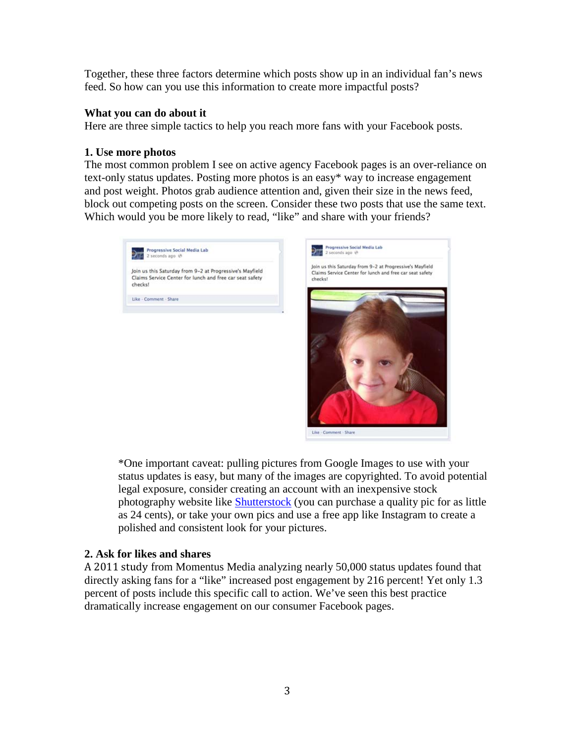Together, these three factors determine which posts show up in an individual fan's news feed. So how can you use this information to create more impactful posts?

#### **What you can do about it**

Here are three simple tactics to help you reach more fans with your Facebook posts.

#### **1. Use more photos**

The most common problem I see on active agency Facebook pages is an over-reliance on text-only status updates. Posting more photos is an easy\* way to increase engagement and post weight. Photos grab audience attention and, given their size in the news feed, block out competing posts on the screen. Consider these two posts that use the same text. Which would you be more likely to read, "like" and share with your friends?





\*One important caveat: pulling pictures from Google Images to use with your status updates is easy, but many of the images are copyrighted. To avoid potential legal exposure, consider creating an account with an inexpensive stock photography website like [Shutterstock](http://www.shutterstock.com/cat.mhtml?lang=en&search_source=search_form&version=llv1&anyorall=all&safesearch=1&searchterm=carseat&search_group=&orient=&search_cat=&searchtermx=&photographer_name=&people_gender=&people_age=&people_ethnicity=&people_number=&commercial_ok=&color=&show_color_wheel=1) (you can purchase a quality pic for as little as 24 cents), or take your own pics and use a free app like Instagram to create a polished and consistent look for your pictures.

#### **2. Ask for likes and shares**

[A 2011 study](http://momentusmedia.com/blog/?p=819) from Momentus Media analyzing nearly 50,000 status updates found that directly asking fans for a "like" increased post engagement by 216 percent! Yet only 1.3 percent of posts include this specific call to action. We've seen this best practice dramatically increase engagement on our consumer Facebook pages.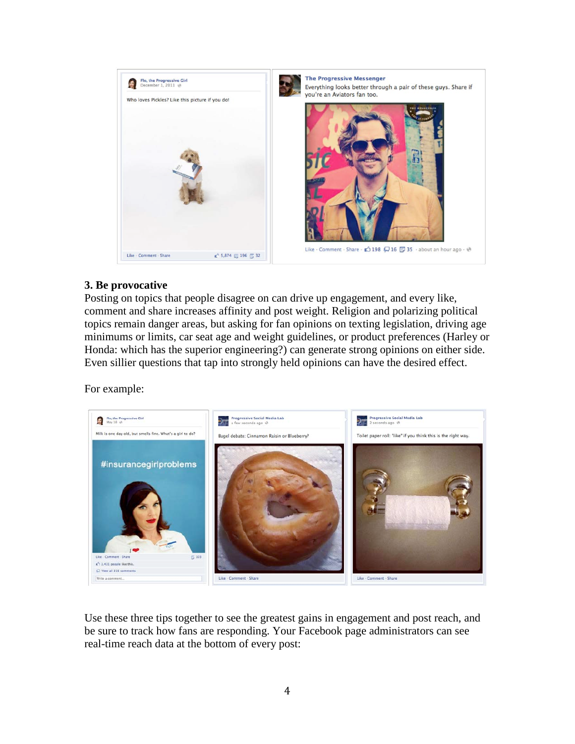

## **3. Be provocative**

Posting on topics that people disagree on can drive up engagement, and every like, comment and share increases affinity and post weight. Religion and polarizing political topics remain danger areas, but asking for fan opinions on texting legislation, driving age minimums or limits, car seat age and weight guidelines, or product preferences (Harley or Honda: which has the superior engineering?) can generate strong opinions on either side. Even sillier questions that tap into strongly held opinions can have the desired effect.

For example:



Use these three tips together to see the greatest gains in engagement and post reach, and be sure to track how fans are responding. Your Facebook page administrators can see real-time reach data at the bottom of every post: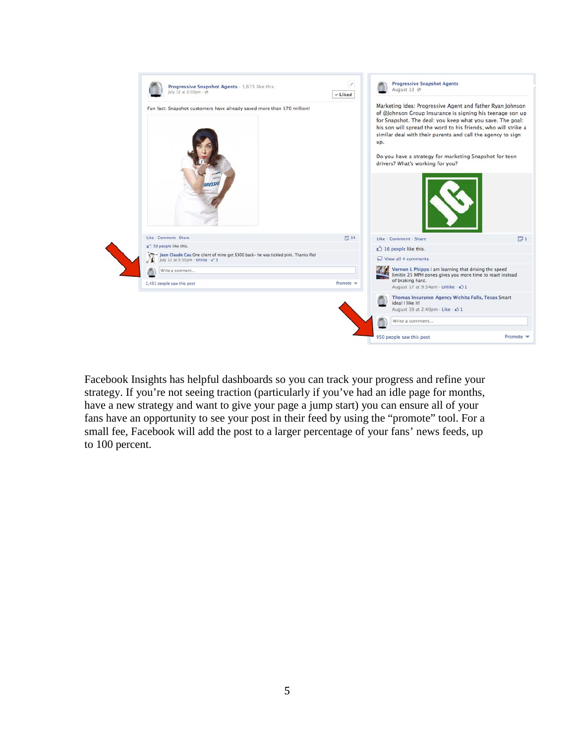

Facebook Insights has helpful dashboards so you can track your progress and refine your strategy. If you're not seeing traction (particularly if you've had an idle page for months, have a new strategy and want to give your page a jump start) you can ensure all of your fans have an opportunity to see your post in their feed by using the "promote" tool. For a small fee, Facebook will add the post to a larger percentage of your fans' news feeds, up to 100 percent.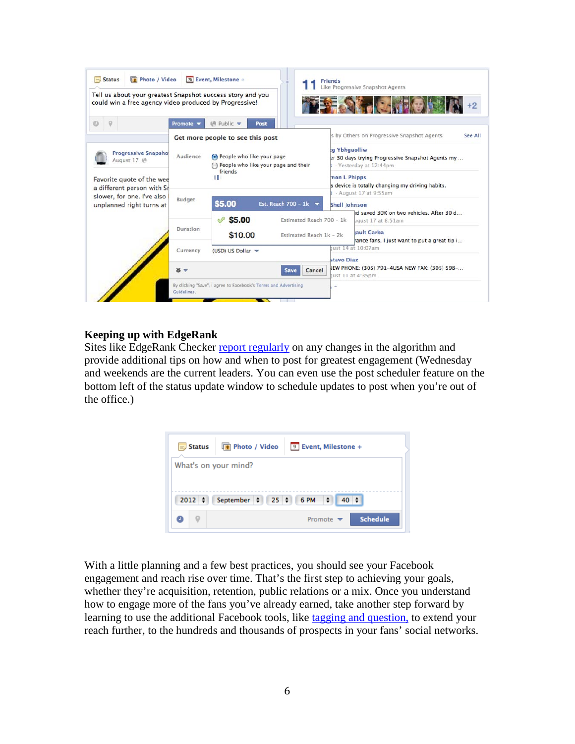| Tell us about your greatest Snapshot success story and you<br>could win a free agency video produced by Progressive! |                                  |                                                                                  |                          |               | Like Progressive Snapshot Agents                                                            |  |
|----------------------------------------------------------------------------------------------------------------------|----------------------------------|----------------------------------------------------------------------------------|--------------------------|---------------|---------------------------------------------------------------------------------------------|--|
| $\mathbb{Q}$                                                                                                         | Promote v                        | (A Public ▼<br>Post                                                              |                          |               |                                                                                             |  |
|                                                                                                                      | Get more people to see this post |                                                                                  |                          |               | s by Others on Progressive Snapshot Agents<br>See All                                       |  |
| <b>Progressive Snapshot</b><br>August 17 ℮                                                                           | Audience                         | People who like your page<br>People who like your page and their<br>friends<br>n |                          |               | ta Ybhauolliw<br>er 30 days trying Progressive Snapshot Agents my<br>- Yesterday at 12:44pm |  |
| Favorite quote of the wee<br>a different person with Sr<br>slower, for one. I've also<br>unplanned right turns at    |                                  |                                                                                  |                          | mon I. Phipps | s device is totally changing my driving habits.<br>- August 17 at 9:55am                    |  |
|                                                                                                                      | Budget                           | \$5.00                                                                           | Est. Reach 700 - 1 $k$   | Shell Johnson |                                                                                             |  |
|                                                                                                                      |                                  | \$5.00                                                                           | Estimated Reach 700 - 1k |               | Id saved 30% on two vehicles. After 30 d<br>ugust 17 at 8:51am                              |  |
|                                                                                                                      | Duration                         | \$10.00<br>Estimated Reach 1k - 2k                                               |                          |               | lault Garba<br>rance fans, I just want to put a great tip i                                 |  |
|                                                                                                                      | Currency                         | (USD) US Dollar                                                                  |                          | stavo Diaz    | ust 14 at 10:07am                                                                           |  |
|                                                                                                                      | 资 マ                              |                                                                                  | Cancel<br><b>Save</b>    |               | LEW PHONE: (305) 791-4USA NEW FAX: (305) 598-<br>ust 11 at 4:35pm                           |  |

## **Keeping up with EdgeRank**

Sites like EdgeRank Checker [report regularly](http://edgerankchecker.com/blog/2012/07/the-state-of-facebook-june-2012/) on any changes in the algorithm and provide additional tips on how and when to post for greatest engagement (Wednesday and weekends are the current leaders. You can even use the post scheduler feature on the bottom left of the status update window to schedule updates to post when you're out of the office.)



With a little planning and a few best practices, you should see your Facebook engagement and reach rise over time. That's the first step to achieving your goals, whether they're acquisition, retention, public relations or a mix. Once you understand how to engage more of the fans you've already earned, take another step forward by learning to use the additional Facebook tools, like [tagging and question,](http://insuranceecosystem.com/2011/11/07/three-tools-for-maximizing-your-agencys-facebook-reach/#.UEyyHY7HJ8w) to extend your reach further, to the hundreds and thousands of prospects in your fans' social networks.